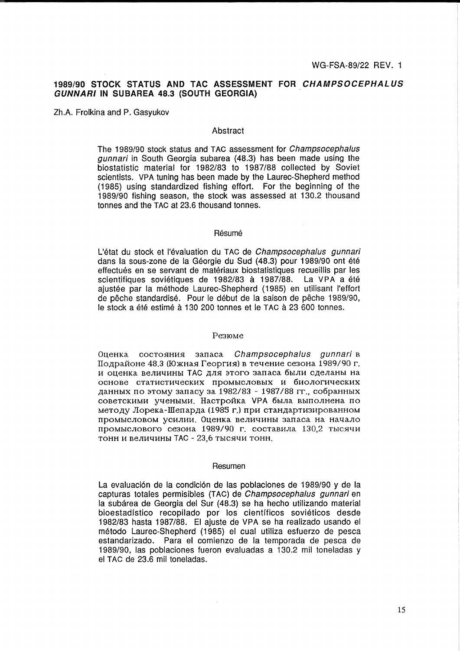# 1989/90 STOCK STATUS AND TAC ASSESSMENT FOR CHAMPSOCEPHALUS **GUNNARI IN SUBAREA 48.3 (SOUTH GEORGIA)**

Zh.A. Frolkina and P. Gasyukov

# Abstract

The 1989/90 stock status and TAC assessment for *Champsocephalus aunnari* in South Georgia subarea (48.3) has been made using the biostatistic material for 1982/83 to 1987/88 collected by Soviet scientists. VPA tuning has been made by the Laurec-Shepherd method (1985) using standardized fishing effort. For the beginning of the 1989/90 fishing season, the stock was assessed at 130.2 thousand tonnes and the TAC at 23.6 thousand tonnes.

# Résumé

 $\mathcal{L}$ 

L'état du stock et l'évaluation du TAC de Champsocephalus qunnari dans la sous-zone de la Géorgie du Sud (48.3) pour 1989/90 ont été effectués en se servant de matériaux biostatistiques recueillis par les scientifiques soviétiques de 1982/83 à 1987/88. La VPA a été ajustée par la méthode Laurec-Shepherd (1985) en utilisant l'effort de pêche standardisé. Pour le début de la saison de pêche 1989/90, le stock a été estimé à 130 200 tonnes et le TAC à 23 600 tonnes.

## Резюме

Оценка состояния запаса Champsocephalus qunnari в Подрайоне 48.3 (Южная Георгия) в течение сезона 1989/90 г. и оценка величины ТАС для этого запаса были сделаны на основе статистических промысловых и биологических данных по этому запасу за 1982/83 - 1987/88 гг., собранных советскими учеными. Настройка VPA была выполнена по методу Лорека-Шепарда (1985 г.) при стандартизированном промысловом усилии. Оценка величины запаса на начало промыслового сезона 1989/90 г. составила 130.2 тысячи тонн и величины ТАС - 23,6 тысячи тонн.

#### Resumen

La evaluación de la condición de las poblaciones de 1989/90 y de la capturas totales permisibles (TAC) de Champsocephalus gunnari en la subárea de Georgia del Sur (48.3) se ha hecho utilizando material bioestadístico recopilado por los científicos soviéticos desde 1982/83 hasta 1987/88. El ajuste de VPA se ha realizado usando el método Laurec-Shepherd (1985) el cual utiliza esfuerzo de pesca estandarizado. Para el comienzo de la temporada de pesca de 1989/90, las poblaciones fueron evaluadas a 130.2 mil toneladas y el TAC de 23.6 mil toneladas.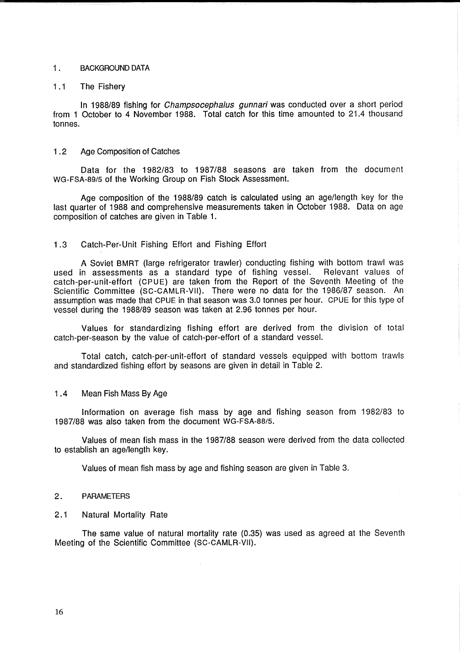# 1. BACKGROUND DATA

# 1.1 The Fishery

In 1988/89 fishing for Champsocephalus gunnari was conducted over a short period from 1 October to 4 November 1988. Total catch for this time amounted to 21.4 thousand tonnes.

## 1 .2 Age Composition of Catches

Data for the 1982/83 to 1987/88 seasons are taken from the document WG-FSA-89/5 of the Working Group on Fish Stock Assessment.

Age composition of the 1988/89 catch is calculated using an age/length key for the last quarter of 1988 and comprehensive measurements taken in October 1988. Data on age composition of catches are given in Table 1.

# 1.3 Catch-Per-Unit Fishing Effort and Fishing Effort

A Soviet BMRT (large refrigerator trawler) conducting fishing with bottom trawl was used in assessments as a standard type of fishing vessel. Relevant values of catch-per-unit-effort (CPUE) are taken from the Report of the Seventh Meeting of the Scientific Committee (SC-CAMLR-VII). There were no data for the 1986/87 season. An assumption was made that CPUE in that season was 3.0 tonnes per hour. CPUE for this type of vessel during the 1988/89 season was taken at 2.96 tonnes per hour.

Values for standardizing fishing effort are derived from the division of total catch-per-season by the value of catch-per-effort of a standard vessel.

Total catch, catch-per-unit-ettort of standard vessels equipped with bottom trawls and standardized fishing effort by seasons are given in detail in Table 2.

### 1 .4 Mean Fish Mass By Age

Information on average fish mass by age and fishing season from 1982/83 to 1987/88 was also taken from the document WG-FSA-88/5.

Values of mean fish mass in the 1987/88 season were derived from the data collected to establish an age/length key.

Values of mean fish mass by age and fishing season are given in Table 3.

 $\mathcal{L}$ 

## 2. PARAMETERS

#### 2.1 Natural Mortality Rate

The same value of natural mortality rate (0.35) was used as agreed at the Seventh Meeting of the Scientific Committee (SC-CAMLR-VII).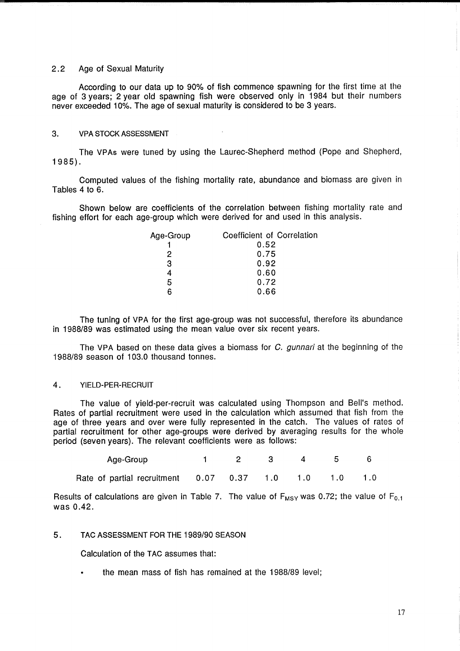# 2.2 Age of Sexual Maturity

According to our data up to 90% of fish commence spawning for the first time at the age of 3 years; 2 year old spawning fish were observed only in 1984 but their numbers never exceeded 10%. The age of sexual maturity is considered to be 3 years.

### 3. VPA STOCK ASSESSMENT

The VPAs were tuned by using the Laurec-Shepherd method (Pope and Shepherd, 1985) .

Computed values of the fishing mortality rate, abundance and biomass are given in Tables 4 to 6.

Shown below are coefficients of the correlation between fishing mortality rate and fishing effort for each age-group which were derived for and used in this analysis.

| Age-Group | Coefficient of Correlation |
|-----------|----------------------------|
|           | 0.52                       |
| 2         | 0.75                       |
| 3         | 0.92                       |
|           | 0.60                       |
| 5         | 0.72                       |
|           | 0.66                       |
|           |                            |

The tuning of VPA for the first age-group was not successful, therefore its abundance in 1988/89 was estimated using the mean value over six recent years.

The VPA based on these data gives a biomass for C. *gunnari* at the beginning of the 1988/89 season of 103.0 thousand tonnes.

#### 4. YIELD-PER-RECRUIT

The value of yield-per-recruit was calculated using Thompson and Bell's method. Rates of partial recruitment were used in the calculation which assumed that fish from the age of three years and over were fully represented in the catch. The values of rates of partial recruitment for other age-groups were derived by averaging results for the whole period (seven years). The relevant coefficients were as follows:

| Age-Group                                                   | 1 2 3 4 5 6 |  |  |
|-------------------------------------------------------------|-------------|--|--|
| Rate of partial recruitment  0.07  0.37  1.0  1.0  1.0  1.0 |             |  |  |

Results of calculations are given in Table 7. The value of  $F_{MSY}$  was 0.72; the value of  $F_{0.1}$ was 0.42.

# 5. TAC ASSESSMENT FOR THE 1989/90 SEASON

Calculation of the TAC assumes that:

the mean mass of fish has remained at the 1988/89 level;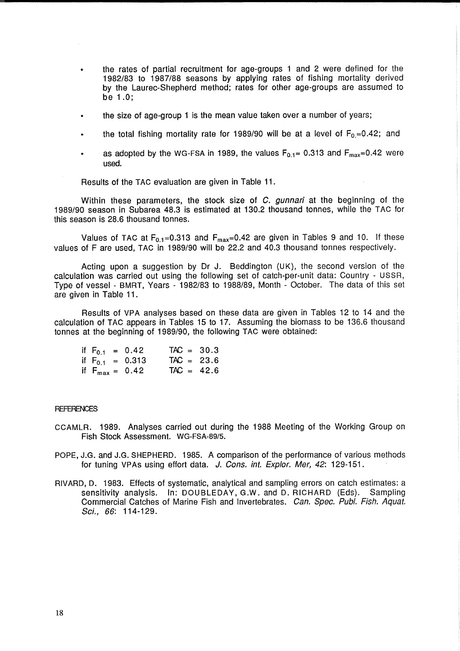- the rates of partial recruitment for age-groups 1 and 2 were defined for the 1982/83 to 1987/88 seasons by applying rates of fishing mortality derived by the Laurec-Shepherd method; rates for other age-groups are assumed to be 1.0;
- the size of age-group 1 is the mean value taken over a number of years;
- the total fishing mortality rate for 1989/90 will be at a level of  $F_0 = 0.42$ ; and
- as adopted by the WG-FSA in 1989, the values  $F_{0.1}$ = 0.313 and  $F_{max}$ =0.42 were used.

Results of the TAC evaluation are given in Table 11.

Within these parameters, the stock size of C, gunnari at the beginning of the 1989/90 season in Subarea 48.3 is estimated at 130.2 thousand tonnes, while the T AC for this season is 28.6 thousand tonnes.

Values of TAC at  $F_{0.1} = 0.313$  and  $F_{\text{max}} = 0.42$  are given in Tables 9 and 10. If these values of F are used, TAC in 1989/90 will be 22.2 and 40.3 thousand tonnes respectively.

Acting upon a suggestion by Dr J. Beddington (UK), the second version of the calculation was carried out using the following set of catch-per-unit data: Country - USSR, Type of vessel - BMRT, Years - 1982/83 to 1988/89, Month - October. The data of this set are given in Table 11.

Results of VPA analyses based on these data are given in Tables 12 to 14 and the calculation of TAC appears in Tables 15 to 17. Assuming the biomass to be 136.6 thousand tonnes at the beginning of 1989/90, the following TAC were obtained:

|  | if $F_{0.1} = 0.42$        | $TAC = 30.3$ |  |
|--|----------------------------|--------------|--|
|  | if $F_{0.1} = 0.313$       | $TAC = 23.6$ |  |
|  | if $F_{\text{max}} = 0.42$ | $TAC = 42.6$ |  |

#### **REFERENCES**

- CCAMLR. 1989. Analyses carried out during the 1988 Meeting of the Working Group on Fish Stock Assessment. WG-FSA-89/S.
- POPE, J.G. and J.G. SHEPHERD. 1985. A comparison of the performance of various methods for tuning VPAs using effort data. J. Cons. int. Explor. Mer. 42: 129-151.
- RIVARD, D. 1983. Effects of systematic, analytical and sampling errors on catch estimates: a sensitivity analysis. In: DOUBLEDAY, G.W. and D. RICHARD (Eds). Sampling Commercial Catches of Marine Fish and Invertebrates. Can. Spec. Publ. Fish. Aquat. Sci., 66: 114-129.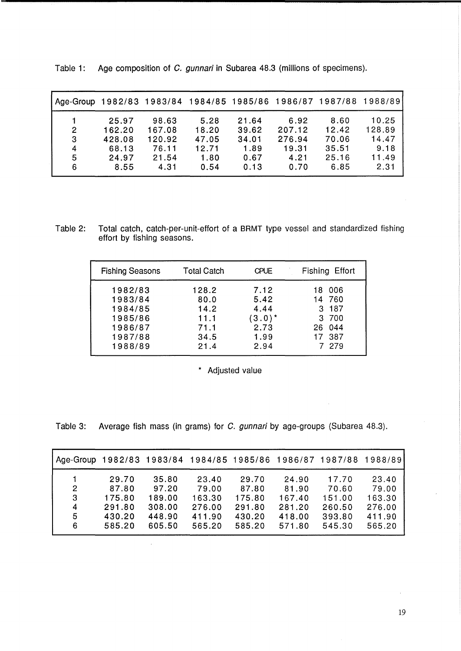| Age-Group 1982/83 1983/84 1984/85 1985/86 1986/87 1987/88 |        |        |       |       |        |       | 1988/89 |
|-----------------------------------------------------------|--------|--------|-------|-------|--------|-------|---------|
|                                                           | 25.97  | 98.63  | 5.28  | 21.64 | 6.92   | 8.60  | 10.25   |
| 2                                                         | 162.20 | 167.08 | 18.20 | 39.62 | 207.12 | 12.42 | 128.89  |
| 3                                                         | 428.08 | 120.92 | 47.05 | 34.01 | 276.94 | 70.06 | 14.47   |
| 4                                                         | 68.13  | 76.11  | 12.71 | 1.89  | 19.31  | 35.51 | 9.18    |
| 5                                                         | 24.97  | 21.54  | 1.80  | 0.67  | 4.21   | 25.16 | 11.49   |
| 6                                                         | 8.55   | 4.31   | 0.54  | 0.13  | 0.70   | 6.85  | 2.31    |

Table 1: Age composition of C. gunnari in Subarea 48.3 (millions of specimens).

Table 2: Total catch, catch-per-unit-effort of a BRMT type vessel and standardized fishing effort by fishing seasons.

| <b>Fishing Seasons</b>                                                    | <b>Total Catch</b>                                    | <b>CPUE</b>                                               | Fishing Effort                                                     |
|---------------------------------------------------------------------------|-------------------------------------------------------|-----------------------------------------------------------|--------------------------------------------------------------------|
| 1982/83<br>1983/84<br>1984/85<br>1985/86<br>1986/87<br>1987/88<br>1988/89 | 128.2<br>80.0<br>14.2<br>11.1<br>71.1<br>34.5<br>21.4 | 7.12<br>5.42<br>4.44<br>$(3.0)^*$<br>2.73<br>1.99<br>2.94 | 006<br>18<br>14 760<br>3 187<br>3 700<br>26 044<br>17 387<br>7 279 |

\* Adjusted value

Table 3: Average fish mass (in grams) for C. gunnari by age-groups (Subarea 48.3).

| Age-Group 1982/83 1983/84 1984/85 1985/86 1986/87 1987/88 1988/89 |                                              |                                              |                                              |                                              |                                              |                                              |                                              |
|-------------------------------------------------------------------|----------------------------------------------|----------------------------------------------|----------------------------------------------|----------------------------------------------|----------------------------------------------|----------------------------------------------|----------------------------------------------|
| 2<br>3<br>4<br>5                                                  | 29.70<br>87.80<br>175.80<br>291.80<br>430.20 | 35.80<br>97.20<br>189.00<br>308.00<br>448.90 | 23.40<br>79.00<br>163.30<br>276.00<br>411.90 | 29.70<br>87.80<br>175.80<br>291.80<br>430.20 | 24.90<br>81.90<br>167.40<br>281.20<br>418.00 | 17.70<br>70.60<br>151.00<br>260.50<br>393.80 | 23.40<br>79.00<br>163.30<br>276.00<br>411.90 |
| 6                                                                 | 585.20                                       | 605.50                                       | 565.20                                       | 585.20                                       | 571.80                                       | 545.30                                       | 565.20                                       |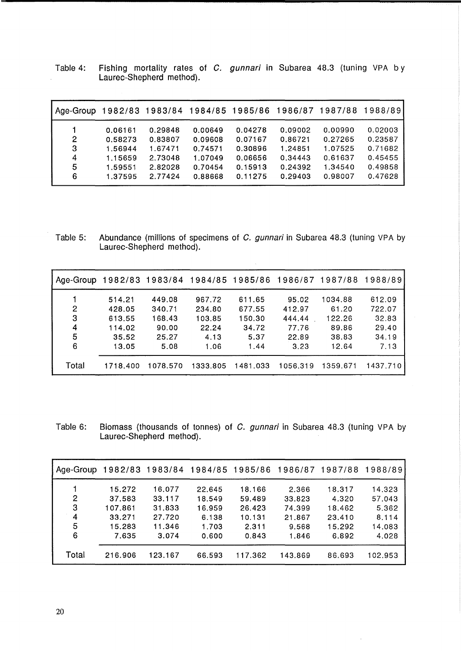|  | Table 4: Fishing mortality rates of <i>C. gunnari</i> in Subarea 48.3 (tuning VPA by |  |  |  |  |  |
|--|--------------------------------------------------------------------------------------|--|--|--|--|--|
|  | Laurec-Shepherd method).                                                             |  |  |  |  |  |

| Age-Group 1982/83 1983/84 1984/85 1985/86 1986/87 1987/88 |         |         |         |         |         |         | 1988/89 |
|-----------------------------------------------------------|---------|---------|---------|---------|---------|---------|---------|
|                                                           | 0.06161 | 0.29848 | 0.00649 | 0.04278 | 0.09002 | 0.00990 | 0.02003 |
| 2                                                         | 0.58273 | 0.83807 | 0.09608 | 0.07167 | 0.86721 | 0.27265 | 0.23587 |
| 3                                                         | 1.56944 | 1.67471 | 0.74571 | 0.30896 | 1.24851 | 1.07525 | 0.71682 |
| 4                                                         | 1.15659 | 2.73048 | 1.07049 | 0.06656 | 0.34443 | 0.61637 | 0.45455 |
| 5                                                         | 1.59551 | 2.82028 | 0.70454 | 0.15913 | 0.24392 | 1.34540 | 0.49858 |
| 6                                                         | 1.37595 | 2.77424 | 0.88668 | 0.11275 | 0.29403 | 0.98007 | 0.47628 |

Table 5: Abundance (millions of specimens of C. gunnari in Subarea 48.3 (tuning VPA by Laurec-Shepherd method).

 $\hat{\mathcal{A}}$ 

| Age-Group |          | 1982/83 1983/84 1984/85 1985/86 |          |          | 1986/87  | 1987/88  | 1988/89  |
|-----------|----------|---------------------------------|----------|----------|----------|----------|----------|
|           | 514.21   | 449.08                          | 967.72   | 611.65   | 95.02    | 1034.88  | 612.09   |
| 2         | 428.05   | 340.71                          | 234.80   | 677.55   | 412.97   | 61.20    | 722.07   |
| 3         | 613.55   | 168.43                          | 103.85   | 150.30   | 444.44   | 122.26   | 32.83    |
| 4         | 114.02   | 90.00                           | 22.24    | 34.72    | 77.76    | 89.86    | 29.40    |
| 5         | 35.52    | 25.27                           | 4.13     | 5.37     | 22.89    | 38.83    | 34.19    |
| 6         | 13.05    | 5.08                            | 1.06     | 1.44     | 3.23     | 12.64    | 7.13     |
| Total     | 1718.400 | 1078.570                        | 1333.805 | 1481.033 | 1056.319 | 1359.671 | 1437.710 |

Table 6: Biomass (thousands of tonnes) of *C. gunnari* in Subarea 48.3 (tuning VPA by Laurec-Shepherd method).

| Age-Group |         |         |        | 1982/83 1983/84 1984/85 1985/86 1986/87 |         | 1987/88 | 1988/89 |
|-----------|---------|---------|--------|-----------------------------------------|---------|---------|---------|
|           | 15.272  | 16.077  | 22.645 | 18.166                                  | 2.366   | 18.317  | 14.323  |
| 2         | 37.583  | 33.117  | 18.549 | 59.489                                  | 33.823  | 4.320   | 57.043  |
| 3         | 107.861 | 31.833  | 16.959 | 26.423                                  | 74.399  | 18.462  | 5,362   |
| 4         | 33.271  | 27.720  | 6.138  | 10.131                                  | 21.867  | 23.410  | 8.114   |
| 5         | 5.283   | 11.346  | 1.703  | 2.311                                   | 9.568   | 15.292  | 14.083  |
| 6         | 7.635   | 3.074   | 0.600  | 0.843                                   | 1.846   | 6.892   | 4.028   |
| Total     | 216.906 | 123.167 | 66.593 | 117.362                                 | 143.869 | 86.693  | 102.953 |

 $\overline{\phantom{a}}$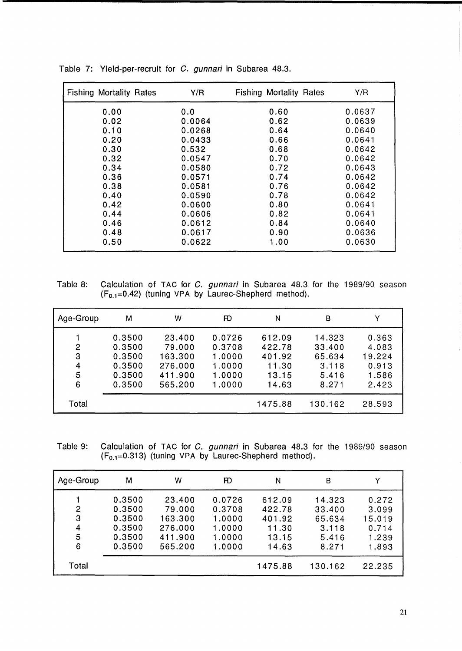| <b>Fishing Mortality Rates</b> | Y/R    | <b>Fishing Mortality Rates</b> | Y/R    |
|--------------------------------|--------|--------------------------------|--------|
| 0.00                           | 0.0    | 0.60                           | 0.0637 |
| 0.02                           | 0.0064 | 0.62                           | 0.0639 |
| 0.10                           | 0.0268 | 0.64                           | 0.0640 |
| 0.20                           | 0.0433 | 0.66                           | 0.0641 |
| 0.30                           | 0.532  | 0.68                           | 0.0642 |
| 0.32                           | 0.0547 | 0.70                           | 0.0642 |
| 0.34                           | 0.0580 | 0.72                           | 0.0643 |
| 0.36                           | 0.0571 | 0.74                           | 0.0642 |
| 0.38                           | 0.0581 | 0.76                           | 0.0642 |
| 0.40                           | 0.0590 | 0.78                           | 0.0642 |
| 0.42                           | 0.0600 | 0.80                           | 0.0641 |
| 0.44                           | 0.0606 | 0.82                           | 0.0641 |
| 0.46                           | 0.0612 | 0.84                           | 0.0640 |
| 0.48                           | 0.0617 | 0.90                           | 0.0636 |
| 0.50                           | 0.0622 | 1.00                           | 0.0630 |

Table 7: Yield-per-recruit for C. gunnari in Subarea 48.3.

Table 8: Calculation of TAC for C. gunnari in Subarea 48.3 for the 1989/90 season  $(F_{0.1}=0.42)$  (tuning VPA by Laurec-Shepherd method).

| Age-Group             | М                                                        | w                                                            | Æ                                                        | N                                                     | B                                                     |                                                     |
|-----------------------|----------------------------------------------------------|--------------------------------------------------------------|----------------------------------------------------------|-------------------------------------------------------|-------------------------------------------------------|-----------------------------------------------------|
| 2<br>3<br>4<br>5<br>6 | 0.3500<br>0.3500<br>0.3500<br>0.3500<br>0.3500<br>0.3500 | 23.400<br>79.000<br>163.300<br>276,000<br>411.900<br>565.200 | 0.0726<br>0.3708<br>1.0000<br>1.0000<br>1.0000<br>1.0000 | 612.09<br>422.78<br>401.92<br>11.30<br>13.15<br>14.63 | 14.323<br>33.400<br>65.634<br>3.118<br>5.416<br>8.271 | 0.363<br>4.083<br>19.224<br>0.913<br>1.586<br>2.423 |
| Total                 |                                                          |                                                              |                                                          | 1475.88                                               | 130.162                                               | 28.593                                              |

Table 9: Calculation of TAC for C. gunnari in Subarea 48.3 for the 1989/90 season  $(F_{0.1}=0.313)$  (tuning VPA by Laurec-Shepherd method).

| Age-Group             | M                                                        | w                                                            | Æ                                                        | N                                                     | B                                                     |                                                     |
|-----------------------|----------------------------------------------------------|--------------------------------------------------------------|----------------------------------------------------------|-------------------------------------------------------|-------------------------------------------------------|-----------------------------------------------------|
| 2<br>3<br>4<br>5<br>6 | 0.3500<br>0.3500<br>0.3500<br>0.3500<br>0.3500<br>0.3500 | 23.400<br>79.000<br>163.300<br>276.000<br>411.900<br>565.200 | 0.0726<br>0.3708<br>1.0000<br>1.0000<br>1.0000<br>1.0000 | 612.09<br>422.78<br>401.92<br>11.30<br>13.15<br>14.63 | 14.323<br>33.400<br>65.634<br>3.118<br>5.416<br>8.271 | 0.272<br>3.099<br>15.019<br>0.714<br>1.239<br>1.893 |
| Total                 |                                                          |                                                              |                                                          | 1475.88                                               | 130.162                                               | 22.235                                              |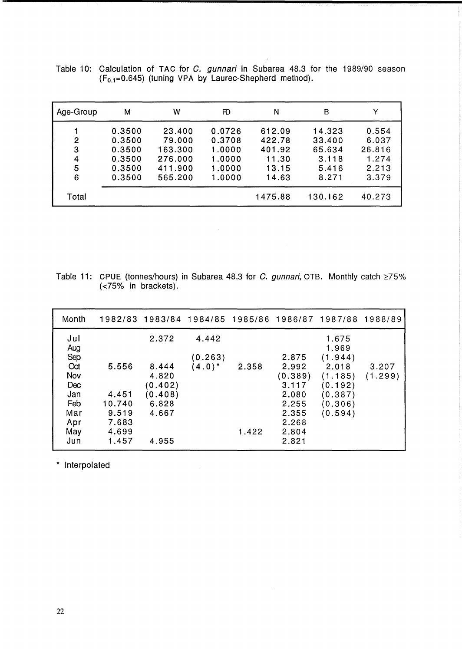| Age-Group             | М                                                        | w                                                            | FD                                                       | Ν                                                     | в                                                     |                                                     |
|-----------------------|----------------------------------------------------------|--------------------------------------------------------------|----------------------------------------------------------|-------------------------------------------------------|-------------------------------------------------------|-----------------------------------------------------|
| 2<br>3<br>4<br>5<br>6 | 0.3500<br>0.3500<br>0.3500<br>0.3500<br>0.3500<br>0.3500 | 23.400<br>79.000<br>163.300<br>276.000<br>411.900<br>565.200 | 0.0726<br>0.3708<br>1.0000<br>1.0000<br>1.0000<br>1.0000 | 612.09<br>422.78<br>401.92<br>11.30<br>13.15<br>14.63 | 14.323<br>33.400<br>65.634<br>3.118<br>5.416<br>8.271 | 0.554<br>6.037<br>26.816<br>1.274<br>2.213<br>3.379 |
| Total                 |                                                          |                                                              |                                                          | 1475.88                                               | 130.162                                               | 40.273                                              |

Table 10: Calculation of TAC for *C. gunnari* in Subarea 48.3 for the 1989/90 season  $(F_{0.1}=0.645)$  (tuning VPA by Laurec-Shepherd method).

Table 11: CPUE (tonnes/hours) in Subarea 48.3 for C. gunnari, OTB. Monthly catch  $\geq 75\%$ (<75% in brackets).

| Month      |        |         | 1982/83 1983/84 1984/85 1985/86 1986/87 1987/88 |       |         |                | 1988/89 |
|------------|--------|---------|-------------------------------------------------|-------|---------|----------------|---------|
| Jul<br>Aug |        | 2.372   | 4.442                                           |       |         | 1.675<br>1.969 |         |
| Sep        |        |         | (0.263)                                         |       | 2.875   | (1.944)        |         |
| Oct        | 5.556  | 8.444   | $(4.0)^*$                                       | 2.358 | 2.992   | 2.018          | 3.207   |
| Nov        |        | 4.820   |                                                 |       | (0.389) | (1.185)        | (1.299) |
| Dec        |        | (0.402) |                                                 |       | 3.117   | (0.192)        |         |
| Jan        | 4.451  | (0.408) |                                                 |       | 2.080   | (0.387)        |         |
| Feb        | 10.740 | 6.828   |                                                 |       | 2.255   | (0.306)        |         |
| Mar        | 9.519  | 4.667   |                                                 |       | 2.355   | (0.594)        |         |
| Apr        | 7.683  |         |                                                 |       | 2.268   |                |         |
| May        | 4.699  |         |                                                 | 1.422 | 2.804   |                |         |
| Jun        | 1.457  | 4.955   |                                                 |       | 2.821   |                |         |

 $\sim 10$ 

\* Interpolated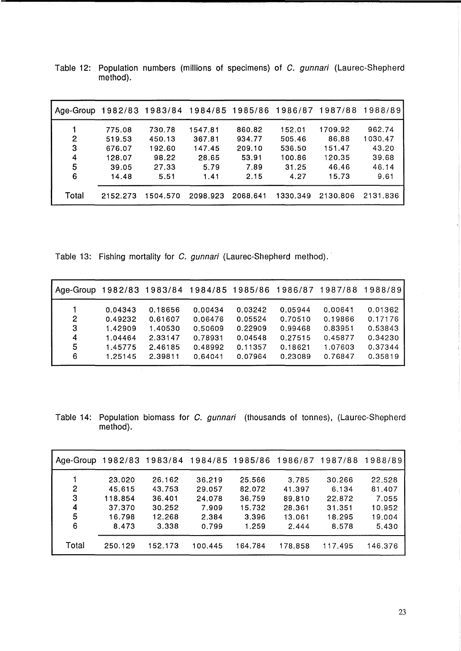| Age-Group |          | 1982/83 1983/84 1984/85 1985/86 1986/87 |          |          |          | 1987/88  | 1988/89  |
|-----------|----------|-----------------------------------------|----------|----------|----------|----------|----------|
|           | 775.08   | 730.78                                  | 1547.81  | 860.82   | 152.01   | 1709.92  | 962.74   |
| 2         | 519.53   | 450.13                                  | 367.81   | 934.77   | 505.46   | 86.88    | 1030.47  |
| 3         | 676.07   | 192.60                                  | 147.45   | 209.10   | 536.50   | 151.47   | 43.20    |
| 4         | 128.07   | 98.22                                   | 28.65    | 53.91    | 100.86   | 120.35   | 39.68    |
| 5         | 39.05    | 27.33                                   | 5.79     | 7.89     | 31.25    | 46.46    | 46.14    |
| 6         | 14.48    | 5.51                                    | 1.41     | 2.15     | 4.27     | 15.73    | 9.61     |
| Total     | 2152.273 | 504.570                                 | 2098.923 | 2068.641 | 1330.349 | 2130.806 | 2131.836 |

Table 12: Population numbers (millions of specimens) of C. gunnari (Laurec-Shepherd method).

Table 13: Fishing mortality for C. gunnari (Laurec-Shepherd method).

| Age-Group 1982/83 1983/84 1984/85 1985/86 |         |         |         |         | 1986/87 | 1987/88 | 1988/89 |
|-------------------------------------------|---------|---------|---------|---------|---------|---------|---------|
|                                           | 0.04343 | 0.18656 | 0.00434 | 0.03242 | 0.05944 | 0.00641 | 0.01362 |
| 2                                         | 0.49232 | 0.61607 | 0.06476 | 0.05524 | 0.70510 | 0.19866 | 0.17176 |
| З                                         | 1.42909 | 1.40530 | 0.50609 | 0.22909 | 0.99468 | 0.83951 | 0.53843 |
| 4                                         | 1.04464 | 2.33147 | 0.78931 | 0.04548 | 0.27515 | 0.45877 | 0.34230 |
| 5                                         | 1.45775 | 2.46185 | 0.48992 | 0.11357 | 0.18621 | 1.07603 | 0.37344 |
| 6                                         | 1.25145 | 2.39811 | 0.64041 | 0.07964 | 0.23089 | 0.76847 | 0.35819 |

Table 14: Population biomass for C. gunnari (thousands of tonnes), (Laurec-Shepherd method).

| Age-Group |                   | 1982/83 1983/84 1984/85 1985/86 |                  |                  | 1986/87          | 1987/88         | 1988/89         |
|-----------|-------------------|---------------------------------|------------------|------------------|------------------|-----------------|-----------------|
|           | 23.020            | 26.162                          | 36.219           | 25.566           | 3.785            | 30.266          | 22.528          |
| 2<br>3    | 45.615<br>118.854 | 43.753<br>36.401                | 29.057<br>24.078 | 82.072<br>36.759 | 41.397<br>89.810 | 6.134<br>22.872 | 81.407<br>7.055 |
| 4         | 37.370            | 30.252                          | 7.909            | 15.732           | 28.361           | 31.351          | 10.952          |
| 5         | 16.798            | 12.268                          | 2.384            | 3.396            | 13.061           | 18.295          | 19.004          |
| 6         | 8.473             | 3.338                           | 0.799            | 1.259            | 2.444            | 8.578           | 5.430           |
| Total     | 250.129           | 152.173                         | 100.445          | 164.784          | 178.858          | 117.495         | 146.376         |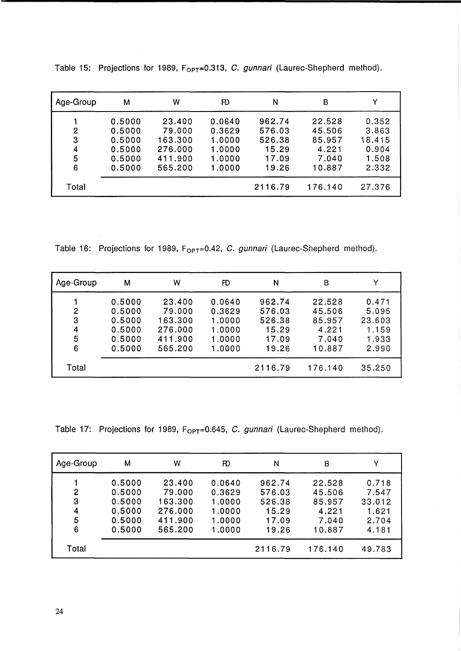| Age-Group             | М                                                        | w                                                            | Æ                                                        | N                                                     | B                                                      |                                                     |
|-----------------------|----------------------------------------------------------|--------------------------------------------------------------|----------------------------------------------------------|-------------------------------------------------------|--------------------------------------------------------|-----------------------------------------------------|
| 2<br>3<br>4<br>5<br>6 | 0.5000<br>0.5000<br>0.5000<br>0.5000<br>0.5000<br>0.5000 | 23.400<br>79.000<br>163.300<br>276.000<br>411.900<br>565.200 | 0.0640<br>0.3629<br>1.0000<br>1.0000<br>1.0000<br>1.0000 | 962.74<br>576.03<br>526.38<br>15.29<br>17.09<br>19.26 | 22.528<br>45.506<br>85.957<br>4.221<br>7.040<br>10.887 | 0.352<br>3.863<br>18.415<br>0.904<br>1.508<br>2.332 |
| Total                 |                                                          |                                                              |                                                          | 2116.79                                               | 176.140                                                | 27.376                                              |

Table 15: Projections for 1989, F<sub>OPT</sub>=0.313, C. gunnari (Laurec-Shepherd method).

Table 16: Projections for 1989,  $F_{OPT}=0.42$ , C. gunnari (Laurec-Shepherd method).

| Age-Group             | М                                                        | W                                                            | Ð                                                        | N                                                     | в                                                      |                                                     |
|-----------------------|----------------------------------------------------------|--------------------------------------------------------------|----------------------------------------------------------|-------------------------------------------------------|--------------------------------------------------------|-----------------------------------------------------|
| 2<br>3<br>4<br>5<br>6 | 0.5000<br>0.5000<br>0.5000<br>0.5000<br>0.5000<br>0.5000 | 23,400<br>79.000<br>163.300<br>276.000<br>411.900<br>565.200 | 0.0640<br>0.3629<br>1.0000<br>1.0000<br>1.0000<br>1.0000 | 962.74<br>576.03<br>526.38<br>15.29<br>17.09<br>19.26 | 22.528<br>45.506<br>85.957<br>4.221<br>7.040<br>10.887 | 0.471<br>5.095<br>23.603<br>1.159<br>1.933<br>2.990 |
| Total                 |                                                          |                                                              |                                                          | 2116.79                                               | 176.140                                                | 35.250                                              |

Table 17: Projections for 1989,  $F_{\text{OPT}}=0.645$ , C. gunnari (Laurec-Shepherd method).

| Age-Group             | м                                                        | w                                                            | Æ                                                        | Ν                                                     | в                                                      |                                                     |
|-----------------------|----------------------------------------------------------|--------------------------------------------------------------|----------------------------------------------------------|-------------------------------------------------------|--------------------------------------------------------|-----------------------------------------------------|
| 2<br>З<br>4<br>5<br>6 | 0.5000<br>0.5000<br>0.5000<br>0.5000<br>0.5000<br>0.5000 | 23.400<br>79.000<br>163.300<br>276.000<br>411.900<br>565.200 | 0.0640<br>0.3629<br>1.0000<br>1.0000<br>1.0000<br>1.0000 | 962.74<br>576.03<br>526.38<br>15.29<br>17.09<br>19.26 | 22.528<br>45.506<br>85.957<br>4.221<br>7.040<br>10.887 | 0.718<br>7.547<br>33.012<br>1.621<br>2.704<br>4.181 |
| Total                 |                                                          |                                                              |                                                          | 2116.79                                               | 176.140                                                | 49.783                                              |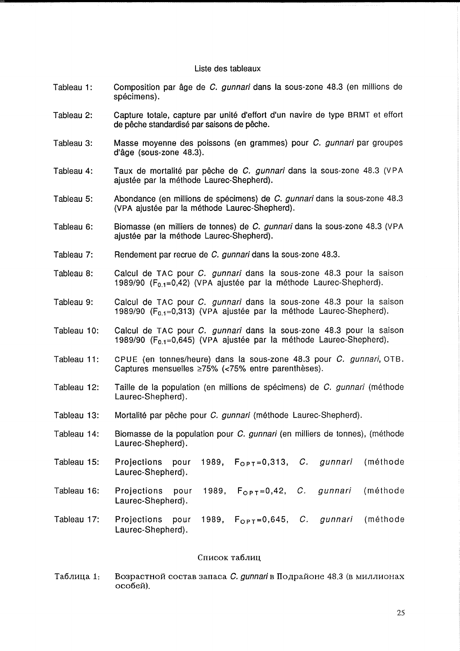#### Liste des tableaux

- Tableau 1: Composition par âge de C. *gunnari* dans la sous-zone 48.3 (en millions de spécimens).
- Tableau 2: Capture totale, capture par unite d'effort d'un navire de type BRMT et effort de pêche standardisé par saisons de pêche.
- Tableau 3: Masse moyenne des poissons (en grammes) pour C. gunnari par groupes d'age (sous-zone 48.3).
- Tableau 4: Taux de mortalité par pêche de C. gunnari dans la sous-zone 48.3 (VPA ajustée par la méthode Laurec-Shepherd).
- Tableau 5: Abondance (en millions de spécimens) de C. gunnari dans la sous-zone 48.3 (VPA ajustee par la methode Laurec-Shepherd).
- Tableau 6: Biomasse (en milliers de tonnes) de C. gunnari dans la sous-zone 48.3 (VPA ajustée par la méthode Laurec-Shepherd).
- Tableau 7: Rendement par recrue de C. gunnari dans la sous-zone 48.3.
- Tableau 8: Calcul de TAC pour C. *gunnari* dans la sous-zone 48.3 pour la saison 1989/90 ( $F_{0.1}$ =0,42) (VPA ajustée par la méthode Laurec-Shepherd).
- Tableau 9: Calcul de TAC pour C. qunnari dans la sous-zone 48.3 pour la saison 1989/90 (F<sub>0.1</sub>=0,313) (VPA ajustée par la méthode Laurec-Shepherd).
- Tableau 10: Calcul de TAC pour C. gunnari dans la sous-zone 48.3 pour la saison 1989/90 ( $F_{0,1}=0.645$ ) (VPA ajustée par la méthode Laurec-Shepherd).
- Tableau 11: CPUE (en tonnes/heure) dans la sous-zone 48.3 pour C. gunnari, OTB. Captures mensuelles  $\geq 75\%$  (<75% entre parenthèses).
- Tableau 12: Taille de la population (en millions de spécimens) de C. qunnari (méthode Laurec-Shepherd) .
- Tableau 13: Mortalité par pêche pour C. gunnari (méthode Laurec-Shepherd).
- Tableau 14: Biomasse de la population pour C. *gunnari* (en milliers de tonnes), (méthode Laurec-Shepherd).
- Tableau 15: Projections pour 1989,  $F_{OPT}=0.313$ , C. gunnari (méthode Laurec-Shepherd) .
- Tableau 16: Projections pour 1989,  $F_{OPT}=0,42$ , C. gunnari (méthode Laurec-Shepherd).
- Tableau 17: Projections pour 1989,  $F_{OPT}=0,645, C.$  gunnari (méthode Laurec-Shepherd).

#### Список таблиц

Таблица 1: Возрастной состав запаса *С. gunnari* в Подрайоне 48.3 (в миллионах особей).

25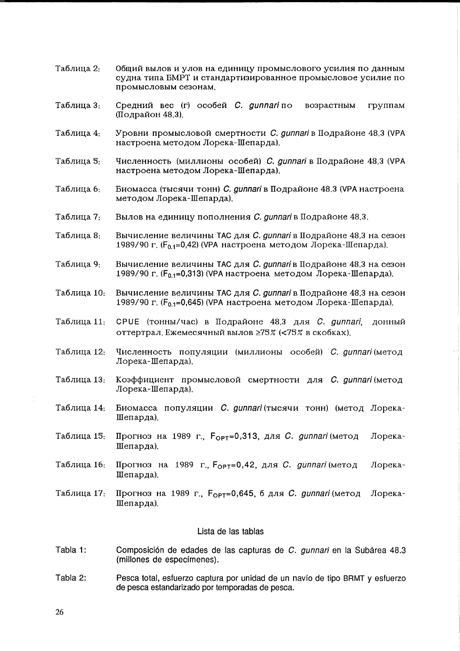- Таблица 2: Общий вылов и улов на единицу промыслового усилия по данным судна типа БМРТ и стандартизированное промысловое усилие по промысловым сезонам.
- Таблица 3: Средний вес (г) особей С. gunnari по возрастным группам (Подрайон 48.3).
- Таблица 4: Уровни промысловой смертности С. gunnari в Подрайоне 48.3 (VPA настроена методом Лорека-Шепарда).
- Таблица 5: Численность (миллионы особей) С. gunnari в Подрайоне 48.3 (VPA настроена методом Лорека-Шепарда).
- Биомасса (тысячи тонн) С. gunnari в Подрайоне 48.3 (VPA настроена Таблица 6: методом Лорека-Шепарда).
- Таблица 7: Вылов на единицу пополнения С. qunnari в Подрайоне 48.3.
- Таблина 8. Вычисление величины ТАС для С. gunnari в Подрайоне 48.3 на сезон 1989/90 г. ( $F_{0,1}=0.42$ ) (VPA настроена методом Лорека-Шепарда).
- Таблица 9: Вычисление величины ТАС для С. gunnari в Подрайоне 48.3 на сезон 1989/90 г. ( $F_{0,1}=0,313$ ) (VPA настроена методом Лорека-Шепарда).
- Вычисление величины ТАС для С. aunnari в Подрайоне 48.3 на сезон Таблица 10: 1989/90 г. ( $F_0$ <sub>1</sub>=0,645) (VPA настроена методом Лорека-Шепарда).
- Таблица 11. СРИЕ (тонны/час) в Подрайоне 48.3 для С. gunnari, донный оттертрал. Ежемесячный вылов ≥75% (<75% в скобках).
- Численность популяции (миллионы особей) С. qunnari (метод Таблица 12: Лорека-Шепарда).
- Таблица 13: Коэффициент промысловой смертности для С. qunnari (метод Лорека-Шепарда).
- Биомасса популяции С. gunnari (тысячи тонн) (метод Лорека-Таблица 14: Шепарда).
- Таблица 15: Прогноз на 1989 г.,  $F_{\text{OPT}}=0,313, \text{ and } C.$  gunnari (метод Лорека-Шепарда).
- Таблица 16: Прогноз на 1989 г.,  $F_{OPT}=0,42$ , для *С. gunnari* (метод Лорека-Шепарда).
- Таблица 17: Прогноз на 1989 г.,  $F_{\text{OPT}}=0.645$ , б для *С. gunnari* (метод Лорека-Шепарда).

#### Lista de las tablas

- Tabla 1: Composición de edades de las capturas de C. gunnari en la Subárea 48.3 (millones de especímenes).
- Tabla 2: Pesca total, esfuerzo captura por unidad de un navío de tipo BRMT y esfuerzo de pesca estandarizado por temporadas de pesca.